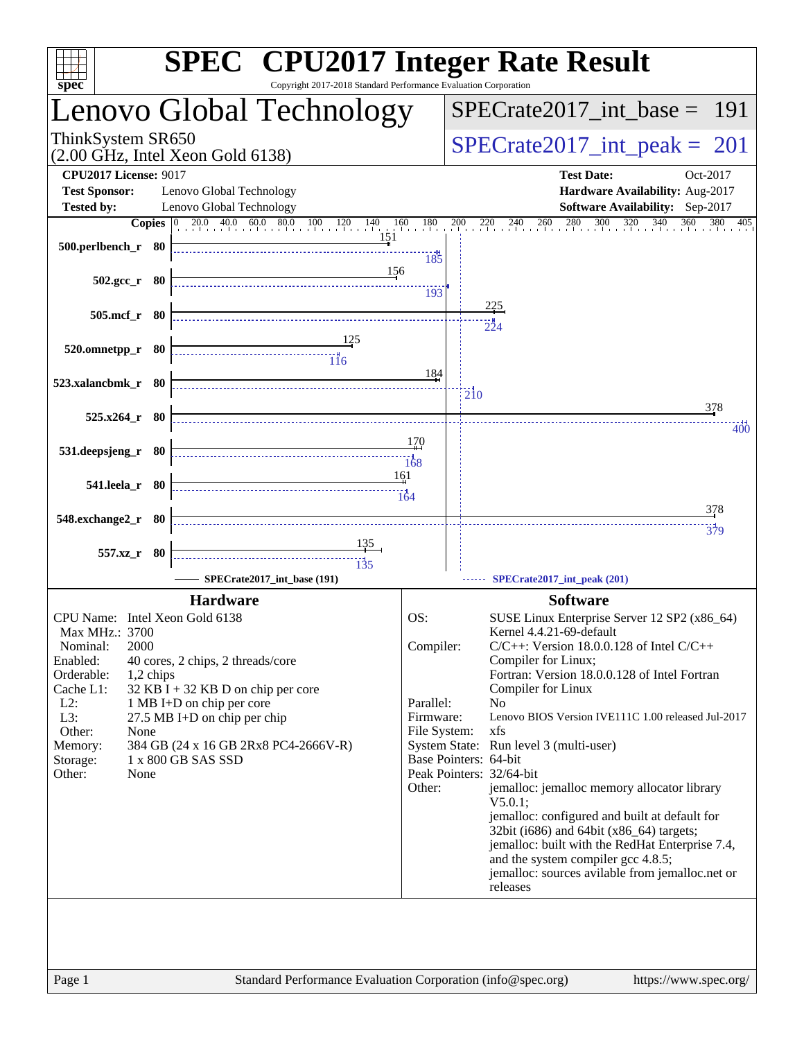| spec <sup>®</sup>                                    | <b>SPEC<sup>®</sup></b> CPU2017 Integer Rate Result<br>Copyright 2017-2018 Standard Performance Evaluation Corporation |                               |                                                                                                        |
|------------------------------------------------------|------------------------------------------------------------------------------------------------------------------------|-------------------------------|--------------------------------------------------------------------------------------------------------|
|                                                      | Lenovo Global Technology                                                                                               |                               | $SPECTate2017\_int\_base = 191$                                                                        |
| ThinkSystem SR650                                    | (2.00 GHz, Intel Xeon Gold 6138)                                                                                       |                               | $SPECTate2017\_int\_peak = 201$                                                                        |
| <b>CPU2017 License: 9017</b><br><b>Test Sponsor:</b> | Lenovo Global Technology                                                                                               |                               | <b>Test Date:</b><br>Oct-2017<br>Hardware Availability: Aug-2017                                       |
| <b>Tested by:</b>                                    | Lenovo Global Technology                                                                                               |                               | Software Availability: Sep-2017                                                                        |
| 500.perlbench_r 80                                   | 151                                                                                                                    | 185                           | <b>Copies</b> 0 20.0 40.0 60.0 80.0 100 120 140 160 180 200 220 240 260 280 300 320 340 360<br>380 405 |
| $502.\text{gcc r}$ 80                                | 156                                                                                                                    | 193                           |                                                                                                        |
| 505.mcf_r 80                                         |                                                                                                                        |                               | <u>225</u>                                                                                             |
| $520.0$ mnetpp_r 80                                  |                                                                                                                        |                               | 224                                                                                                    |
| 523.xalancbmk r 80                                   |                                                                                                                        | 184                           | $\overline{2}10$<br>378                                                                                |
| 525.x264_r 80                                        |                                                                                                                        |                               | 400                                                                                                    |
| 531.deepsjeng_r 80                                   |                                                                                                                        | 170<br>$\frac{1}{168}$<br>161 |                                                                                                        |
| 541.leela_r 80                                       |                                                                                                                        | 164                           | 378                                                                                                    |
| 548.exchange2_r 80                                   | <u>135</u>                                                                                                             |                               | <br>379                                                                                                |
| 557.xz_r 80                                          | SPECrate2017_int_base (191)                                                                                            |                               | SPECrate2017_int_peak (201)                                                                            |
|                                                      | <b>Hardware</b>                                                                                                        |                               | <b>Software</b>                                                                                        |
| CPU Name: Intel Xeon Gold 6138                       |                                                                                                                        | OS:                           | SUSE Linux Enterprise Server 12 SP2 (x86_64)                                                           |
| Max MHz.: 3700<br>2000<br>Nominal:                   |                                                                                                                        | Compiler:                     | Kernel 4.4.21-69-default<br>$C/C++$ : Version 18.0.0.128 of Intel $C/C++$                              |
| Enabled:                                             | 40 cores, 2 chips, 2 threads/core                                                                                      |                               | Compiler for Linux;                                                                                    |
| Orderable:<br>1,2 chips                              |                                                                                                                        |                               | Fortran: Version 18.0.0.128 of Intel Fortran                                                           |
| Cache L1:<br>$L2$ :                                  | $32$ KB I + 32 KB D on chip per core<br>1 MB I+D on chip per core                                                      | Parallel:                     | Compiler for Linux<br>N <sub>o</sub>                                                                   |
| L3:                                                  | 27.5 MB I+D on chip per chip                                                                                           | Firmware:                     | Lenovo BIOS Version IVE111C 1.00 released Jul-2017                                                     |
| Other:<br>None                                       |                                                                                                                        | File System:                  | xfs                                                                                                    |
| Memory:                                              | 384 GB (24 x 16 GB 2Rx8 PC4-2666V-R)<br>1 x 800 GB SAS SSD                                                             |                               | System State: Run level 3 (multi-user)<br>Base Pointers: 64-bit                                        |
| Storage:<br>Other:<br>None                           |                                                                                                                        |                               | Peak Pointers: 32/64-bit                                                                               |
|                                                      |                                                                                                                        | Other:                        | jemalloc: jemalloc memory allocator library<br>$V5.0.1$ :                                              |
|                                                      |                                                                                                                        |                               | jemalloc: configured and built at default for<br>32bit (i686) and 64bit (x86_64) targets;              |
|                                                      |                                                                                                                        |                               | jemalloc: built with the RedHat Enterprise 7.4,                                                        |
|                                                      |                                                                                                                        |                               | and the system compiler gcc 4.8.5;<br>jemalloc: sources avilable from jemalloc.net or<br>releases      |
|                                                      |                                                                                                                        |                               |                                                                                                        |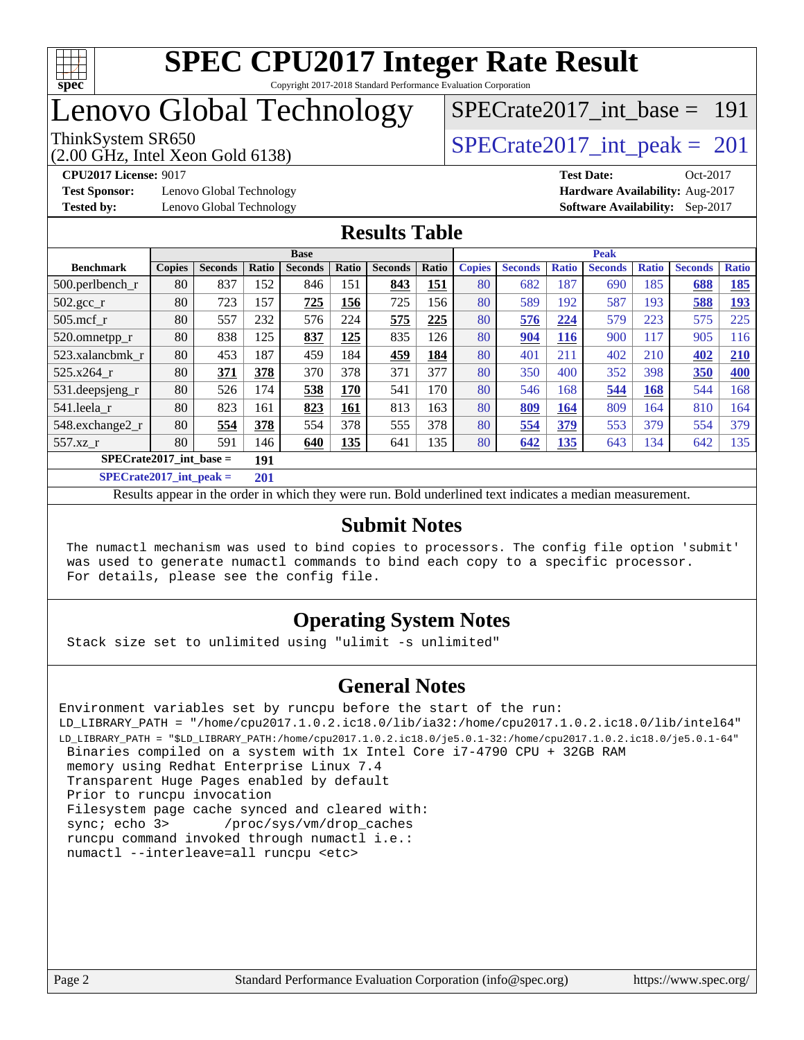

## Lenovo Global Technology

(2.00 GHz, Intel Xeon Gold 6138)

ThinkSystem SR650<br>  $(2.00 \text{ GHz. Intel Yoon Gold } 6138)$   $SPECrate2017\_int\_peak = 201$ 

[SPECrate2017\\_int\\_base =](http://www.spec.org/auto/cpu2017/Docs/result-fields.html#SPECrate2017intbase) 191

**[Test Sponsor:](http://www.spec.org/auto/cpu2017/Docs/result-fields.html#TestSponsor)** Lenovo Global Technology **[Hardware Availability:](http://www.spec.org/auto/cpu2017/Docs/result-fields.html#HardwareAvailability)** Aug-2017

**[CPU2017 License:](http://www.spec.org/auto/cpu2017/Docs/result-fields.html#CPU2017License)** 9017 **[Test Date:](http://www.spec.org/auto/cpu2017/Docs/result-fields.html#TestDate)** Oct-2017 **[Tested by:](http://www.spec.org/auto/cpu2017/Docs/result-fields.html#Testedby)** Lenovo Global Technology **[Software Availability:](http://www.spec.org/auto/cpu2017/Docs/result-fields.html#SoftwareAvailability)** Sep-2017

#### **[Results Table](http://www.spec.org/auto/cpu2017/Docs/result-fields.html#ResultsTable)**

|                                  | <b>Base</b>   |                |       |                |       | <b>Peak</b>    |       |               |                |              |                |              |                |              |
|----------------------------------|---------------|----------------|-------|----------------|-------|----------------|-------|---------------|----------------|--------------|----------------|--------------|----------------|--------------|
| <b>Benchmark</b>                 | <b>Copies</b> | <b>Seconds</b> | Ratio | <b>Seconds</b> | Ratio | <b>Seconds</b> | Ratio | <b>Copies</b> | <b>Seconds</b> | <b>Ratio</b> | <b>Seconds</b> | <b>Ratio</b> | <b>Seconds</b> | <b>Ratio</b> |
| $500.$ perlbench_r               | 80            | 837            | 152   | 846            | 151   | 843            | 151   | 80            | 682            | 187          | 690            | 185          | 688            | 185          |
| $502.\text{sec}$                 | 80            | 723            | 157   | 725            | 156   | 725            | 156   | 80            | 589            | 192          | 587            | 193          | 588            | <u>193</u>   |
| $505$ .mcf r                     | 80            | 557            | 232   | 576            | 224   | 575            | 225   | 80            | 576            | 224          | 579            | 223          | 575            | 225          |
| 520.omnetpp_r                    | 80            | 838            | 125   | 837            | 125   | 835            | 126   | 80            | 904            | 116          | 900            | 117          | 905            | 116          |
| 523.xalancbmk r                  | 80            | 453            | 187   | 459            | 184   | 459            | 184   | 80            | 401            | 211          | 402            | 210          | 402            | 210          |
| 525.x264 r                       | 80            | 371            | 378   | 370            | 378   | 371            | 377   | 80            | 350            | 400          | 352            | 398          | 350            | 400          |
| 531.deepsjeng_r                  | 80            | 526            | 174   | 538            | 170   | 541            | 170   | 80            | 546            | 168          | 544            | 168          | 544            | 168          |
| 541.leela r                      | 80            | 823            | 161   | 823            | 161   | 813            | 163   | 80            | 809            | 164          | 809            | 164          | 810            | 164          |
| 548.exchange2_r                  | 80            | 554            | 378   | 554            | 378   | 555            | 378   | 80            | 554            | 379          | 553            | 379          | 554            | 379          |
| 557.xz r                         | 80            | 591            | 146   | 640            | 135   | 641            | 135   | 80            | 642            | <u>135</u>   | 643            | 134          | 642            | 135          |
| $SPECrate2017$ int base =<br>191 |               |                |       |                |       |                |       |               |                |              |                |              |                |              |
| $SPECrate2017$ int peak =        |               |                | 201   |                |       |                |       |               |                |              |                |              |                |              |

Results appear in the [order in which they were run](http://www.spec.org/auto/cpu2017/Docs/result-fields.html#RunOrder). Bold underlined text [indicates a median measurement](http://www.spec.org/auto/cpu2017/Docs/result-fields.html#Median).

#### **[Submit Notes](http://www.spec.org/auto/cpu2017/Docs/result-fields.html#SubmitNotes)**

 The numactl mechanism was used to bind copies to processors. The config file option 'submit' was used to generate numactl commands to bind each copy to a specific processor. For details, please see the config file.

#### **[Operating System Notes](http://www.spec.org/auto/cpu2017/Docs/result-fields.html#OperatingSystemNotes)**

Stack size set to unlimited using "ulimit -s unlimited"

#### **[General Notes](http://www.spec.org/auto/cpu2017/Docs/result-fields.html#GeneralNotes)**

Environment variables set by runcpu before the start of the run: LD\_LIBRARY\_PATH = "/home/cpu2017.1.0.2.ic18.0/lib/ia32:/home/cpu2017.1.0.2.ic18.0/lib/intel64" LD\_LIBRARY\_PATH = "\$LD\_LIBRARY\_PATH:/home/cpu2017.1.0.2.ic18.0/je5.0.1-32:/home/cpu2017.1.0.2.ic18.0/je5.0.1-64" Binaries compiled on a system with 1x Intel Core i7-4790 CPU + 32GB RAM memory using Redhat Enterprise Linux 7.4 Transparent Huge Pages enabled by default Prior to runcpu invocation Filesystem page cache synced and cleared with: sync; echo 3> /proc/sys/vm/drop\_caches runcpu command invoked through numactl i.e.: numactl --interleave=all runcpu <etc>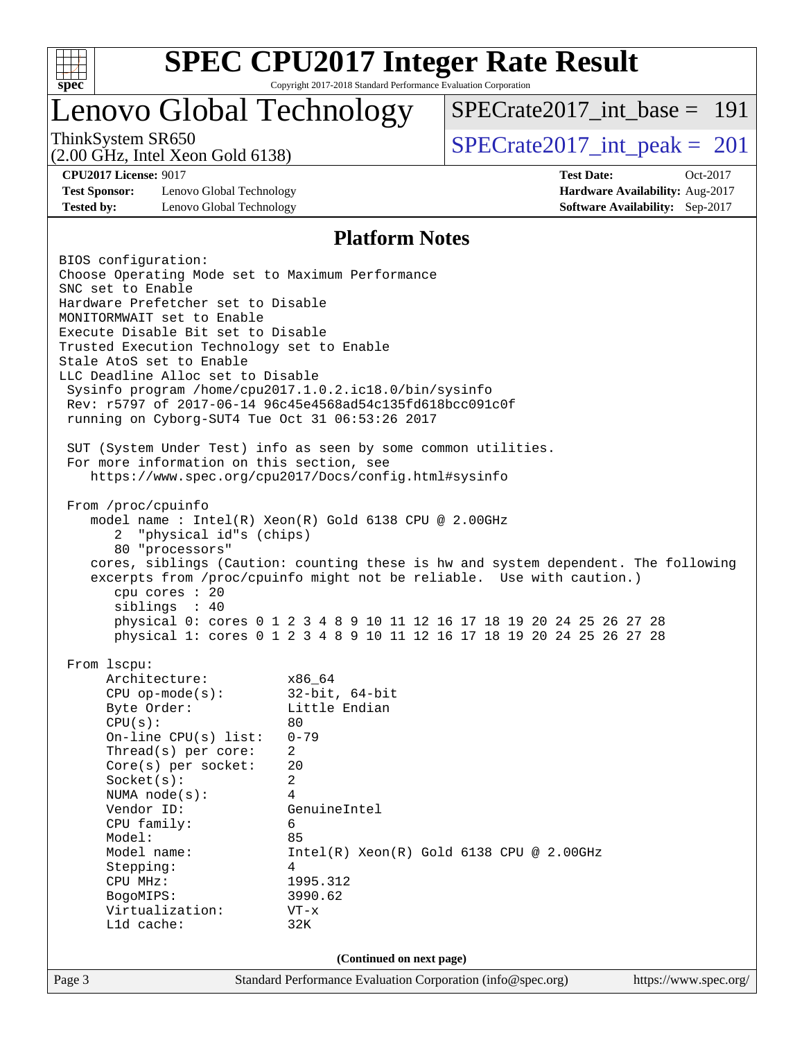

Copyright 2017-2018 Standard Performance Evaluation Corporation

### Lenovo Global Technology

[SPECrate2017\\_int\\_base =](http://www.spec.org/auto/cpu2017/Docs/result-fields.html#SPECrate2017intbase) 191

(2.00 GHz, Intel Xeon Gold 6138)

ThinkSystem SR650<br>  $\angle Q$  00 GHz, Intel Year Gald 6138)<br>  $\angle$  [SPECrate2017\\_int\\_peak =](http://www.spec.org/auto/cpu2017/Docs/result-fields.html#SPECrate2017intpeak) 201

**[Test Sponsor:](http://www.spec.org/auto/cpu2017/Docs/result-fields.html#TestSponsor)** Lenovo Global Technology **[Hardware Availability:](http://www.spec.org/auto/cpu2017/Docs/result-fields.html#HardwareAvailability)** Aug-2017 **[Tested by:](http://www.spec.org/auto/cpu2017/Docs/result-fields.html#Testedby)** Lenovo Global Technology **[Software Availability:](http://www.spec.org/auto/cpu2017/Docs/result-fields.html#SoftwareAvailability)** Sep-2017

**[CPU2017 License:](http://www.spec.org/auto/cpu2017/Docs/result-fields.html#CPU2017License)** 9017 **[Test Date:](http://www.spec.org/auto/cpu2017/Docs/result-fields.html#TestDate)** Oct-2017

#### **[Platform Notes](http://www.spec.org/auto/cpu2017/Docs/result-fields.html#PlatformNotes)**

Page 3 Standard Performance Evaluation Corporation [\(info@spec.org\)](mailto:info@spec.org) <https://www.spec.org/> BIOS configuration: Choose Operating Mode set to Maximum Performance SNC set to Enable Hardware Prefetcher set to Disable MONITORMWAIT set to Enable Execute Disable Bit set to Disable Trusted Execution Technology set to Enable Stale AtoS set to Enable LLC Deadline Alloc set to Disable Sysinfo program /home/cpu2017.1.0.2.ic18.0/bin/sysinfo Rev: r5797 of 2017-06-14 96c45e4568ad54c135fd618bcc091c0f running on Cyborg-SUT4 Tue Oct 31 06:53:26 2017 SUT (System Under Test) info as seen by some common utilities. For more information on this section, see <https://www.spec.org/cpu2017/Docs/config.html#sysinfo> From /proc/cpuinfo model name : Intel(R) Xeon(R) Gold 6138 CPU @ 2.00GHz 2 "physical id"s (chips) 80 "processors" cores, siblings (Caution: counting these is hw and system dependent. The following excerpts from /proc/cpuinfo might not be reliable. Use with caution.) cpu cores : 20 siblings : 40 physical 0: cores 0 1 2 3 4 8 9 10 11 12 16 17 18 19 20 24 25 26 27 28 physical 1: cores 0 1 2 3 4 8 9 10 11 12 16 17 18 19 20 24 25 26 27 28 From lscpu: Architecture: x86\_64 CPU op-mode(s): 32-bit, 64-bit Byte Order: Little Endian  $CPU(s):$  80 On-line CPU(s) list: 0-79 Thread(s) per core: 2 Core(s) per socket: 20 Socket(s): 2 NUMA node(s): 4 Vendor ID: GenuineIntel CPU family: 6 Model: 85 Model name: Intel(R) Xeon(R) Gold 6138 CPU @ 2.00GHz Stepping: 4 CPU MHz: 1995.312 BogoMIPS: 3990.62 Virtualization: VT-x L1d cache: 32K **(Continued on next page)**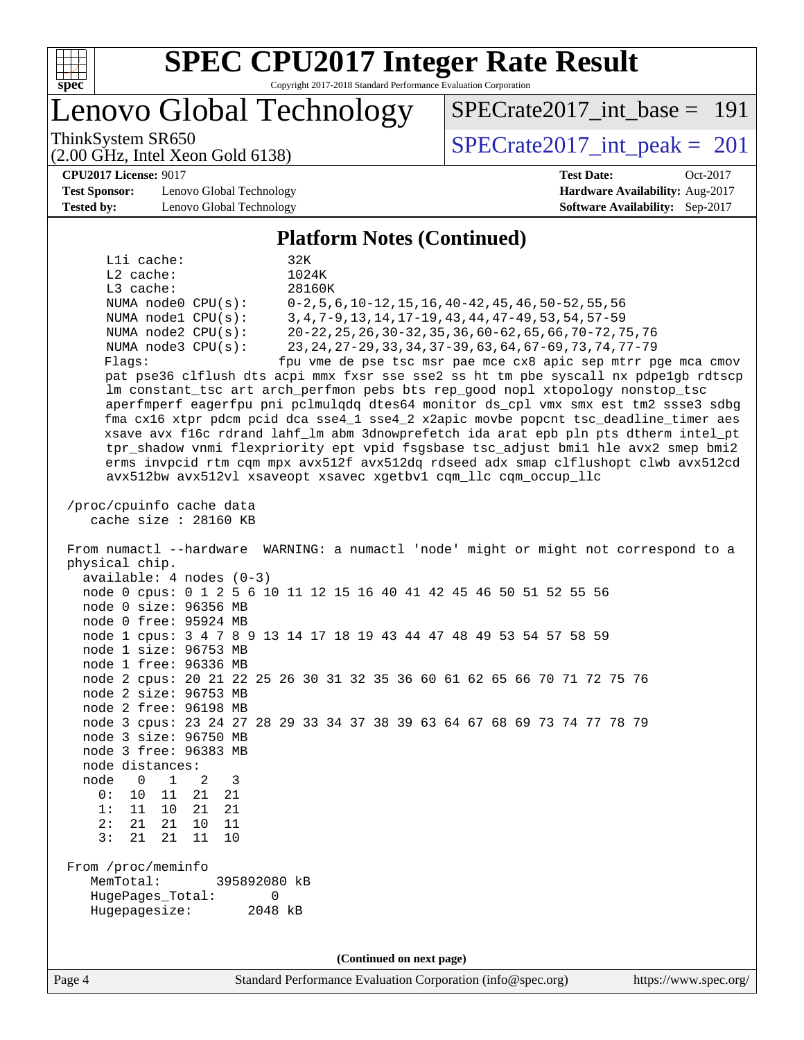

Copyright 2017-2018 Standard Performance Evaluation Corporation

Lenovo Global Technology

ThinkSystem SR650<br>  $(2.00 \text{ GHz. Intel Yoon Gold } 6138)$   $SPECrate2017\_int\_peak = 201$ 

[SPECrate2017\\_int\\_base =](http://www.spec.org/auto/cpu2017/Docs/result-fields.html#SPECrate2017intbase) 191

#### **[CPU2017 License:](http://www.spec.org/auto/cpu2017/Docs/result-fields.html#CPU2017License)** 9017 **[Test Date:](http://www.spec.org/auto/cpu2017/Docs/result-fields.html#TestDate)** Oct-2017

**[Test Sponsor:](http://www.spec.org/auto/cpu2017/Docs/result-fields.html#TestSponsor)** Lenovo Global Technology **[Hardware Availability:](http://www.spec.org/auto/cpu2017/Docs/result-fields.html#HardwareAvailability)** Aug-2017 **[Tested by:](http://www.spec.org/auto/cpu2017/Docs/result-fields.html#Testedby)** Lenovo Global Technology **[Software Availability:](http://www.spec.org/auto/cpu2017/Docs/result-fields.html#SoftwareAvailability)** Sep-2017

(2.00 GHz, Intel Xeon Gold 6138)

#### **[Platform Notes \(Continued\)](http://www.spec.org/auto/cpu2017/Docs/result-fields.html#PlatformNotes)**

L1i cache: 32K L2 cache: 1024K L3 cache: 28160K NUMA node0 CPU(s): 0-2,5,6,10-12,15,16,40-42,45,46,50-52,55,56 NUMA node1 CPU(s): 3,4,7-9,13,14,17-19,43,44,47-49,53,54,57-59 NUMA node2 CPU(s): 20-22,25,26,30-32,35,36,60-62,65,66,70-72,75,76 NUMA node3 CPU(s): 23,24,27-29,33,34,37-39,63,64,67-69,73,74,77-79 Flags: fpu vme de pse tsc msr pae mce cx8 apic sep mtrr pge mca cmov pat pse36 clflush dts acpi mmx fxsr sse sse2 ss ht tm pbe syscall nx pdpe1gb rdtscp lm constant\_tsc art arch\_perfmon pebs bts rep\_good nopl xtopology nonstop\_tsc aperfmperf eagerfpu pni pclmulqdq dtes64 monitor ds\_cpl vmx smx est tm2 ssse3 sdbg fma cx16 xtpr pdcm pcid dca sse4\_1 sse4\_2 x2apic movbe popcnt tsc\_deadline\_timer aes xsave avx f16c rdrand lahf\_lm abm 3dnowprefetch ida arat epb pln pts dtherm intel\_pt tpr\_shadow vnmi flexpriority ept vpid fsgsbase tsc\_adjust bmi1 hle avx2 smep bmi2 erms invpcid rtm cqm mpx avx512f avx512dq rdseed adx smap clflushopt clwb avx512cd avx512bw avx512vl xsaveopt xsavec xgetbv1 cqm\_llc cqm\_occup\_llc /proc/cpuinfo cache data cache size : 28160 KB From numactl --hardware WARNING: a numactl 'node' might or might not correspond to a physical chip. available: 4 nodes (0-3) node 0 cpus: 0 1 2 5 6 10 11 12 15 16 40 41 42 45 46 50 51 52 55 56 node 0 size: 96356 MB node 0 free: 95924 MB node 1 cpus: 3 4 7 8 9 13 14 17 18 19 43 44 47 48 49 53 54 57 58 59 node 1 size: 96753 MB node 1 free: 96336 MB node 2 cpus: 20 21 22 25 26 30 31 32 35 36 60 61 62 65 66 70 71 72 75 76 node 2 size: 96753 MB node 2 free: 96198 MB node 3 cpus: 23 24 27 28 29 33 34 37 38 39 63 64 67 68 69 73 74 77 78 79 node 3 size: 96750 MB node 3 free: 96383 MB node distances: node 0 1 2 3 0: 10 11 21 21 1: 11 10 21 21 2: 21 21 10 11 3: 21 21 11 10 From /proc/meminfo MemTotal: 395892080 kB HugePages\_Total: 0 Hugepagesize: 2048 kB **(Continued on next page)**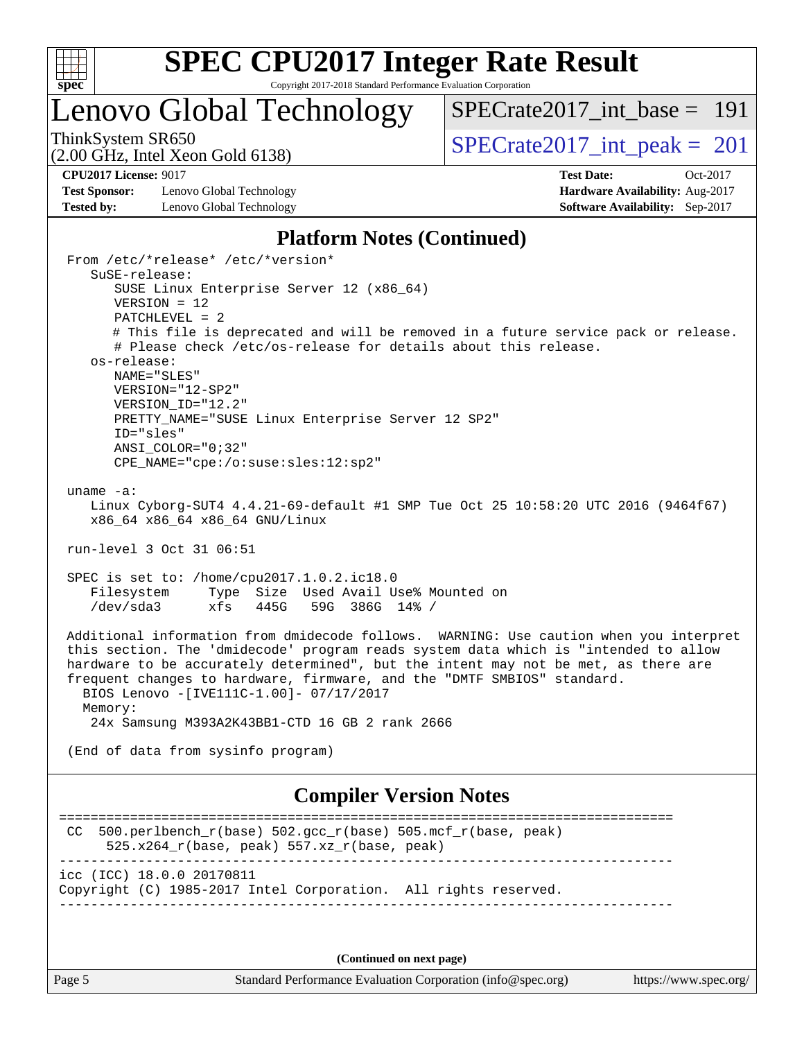

### Lenovo Global Technology

[SPECrate2017\\_int\\_base =](http://www.spec.org/auto/cpu2017/Docs/result-fields.html#SPECrate2017intbase) 191

(2.00 GHz, Intel Xeon Gold 6138)

ThinkSystem SR650<br>  $(2.00 \text{ GHz. Intel Yoon Gold } 6138)$   $SPECrate2017\_int\_peak = 201$ 

**[Test Sponsor:](http://www.spec.org/auto/cpu2017/Docs/result-fields.html#TestSponsor)** Lenovo Global Technology **[Hardware Availability:](http://www.spec.org/auto/cpu2017/Docs/result-fields.html#HardwareAvailability)** Aug-2017 **[Tested by:](http://www.spec.org/auto/cpu2017/Docs/result-fields.html#Testedby)** Lenovo Global Technology **[Software Availability:](http://www.spec.org/auto/cpu2017/Docs/result-fields.html#SoftwareAvailability)** Sep-2017

**[CPU2017 License:](http://www.spec.org/auto/cpu2017/Docs/result-fields.html#CPU2017License)** 9017 **[Test Date:](http://www.spec.org/auto/cpu2017/Docs/result-fields.html#TestDate)** Oct-2017

#### **[Platform Notes \(Continued\)](http://www.spec.org/auto/cpu2017/Docs/result-fields.html#PlatformNotes)**

 From /etc/\*release\* /etc/\*version\* SuSE-release: SUSE Linux Enterprise Server 12 (x86\_64) VERSION = 12 PATCHLEVEL = 2 # This file is deprecated and will be removed in a future service pack or release. # Please check /etc/os-release for details about this release. os-release: NAME="SLES" VERSION="12-SP2" VERSION\_ID="12.2" PRETTY NAME="SUSE Linux Enterprise Server 12 SP2" ID="sles" ANSI\_COLOR="0;32" CPE\_NAME="cpe:/o:suse:sles:12:sp2" uname -a: Linux Cyborg-SUT4 4.4.21-69-default #1 SMP Tue Oct 25 10:58:20 UTC 2016 (9464f67) x86\_64 x86\_64 x86\_64 GNU/Linux run-level 3 Oct 31 06:51 SPEC is set to: /home/cpu2017.1.0.2.ic18.0 Filesystem Type Size Used Avail Use% Mounted on /dev/sda3 xfs 445G 59G 386G 14% / Additional information from dmidecode follows. WARNING: Use caution when you interpret this section. The 'dmidecode' program reads system data which is "intended to allow hardware to be accurately determined", but the intent may not be met, as there are frequent changes to hardware, firmware, and the "DMTF SMBIOS" standard. BIOS Lenovo -[IVE111C-1.00]- 07/17/2017 Memory: 24x Samsung M393A2K43BB1-CTD 16 GB 2 rank 2666 (End of data from sysinfo program) **[Compiler Version Notes](http://www.spec.org/auto/cpu2017/Docs/result-fields.html#CompilerVersionNotes)** ============================================================================== CC 500.perlbench  $r(base)$  502.gcc  $r(base)$  505.mcf  $r(base, peak)$  525.x264\_r(base, peak) 557.xz\_r(base, peak) ----------------------------------------------------------------------------- icc (ICC) 18.0.0 20170811 Copyright (C) 1985-2017 Intel Corporation. All rights reserved. ------------------------------------------------------------------------------

**(Continued on next page)**

Page 5 Standard Performance Evaluation Corporation [\(info@spec.org\)](mailto:info@spec.org) <https://www.spec.org/>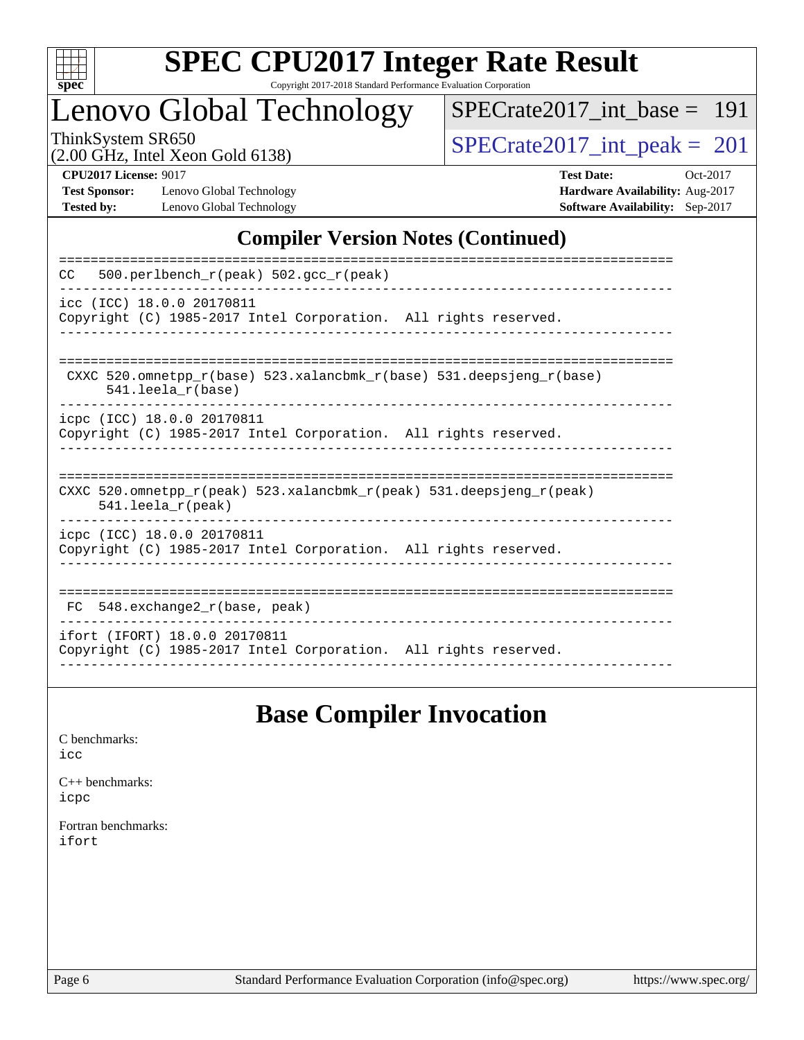

Copyright 2017-2018 Standard Performance Evaluation Corporation

### Lenovo Global Technology

[SPECrate2017\\_int\\_base =](http://www.spec.org/auto/cpu2017/Docs/result-fields.html#SPECrate2017intbase) 191

(2.00 GHz, Intel Xeon Gold 6138)

ThinkSystem SR650<br>(2.00 GHz, Intel Xeon Gold 6138) [SPECrate2017\\_int\\_peak =](http://www.spec.org/auto/cpu2017/Docs/result-fields.html#SPECrate2017intpeak) 201

**[Test Sponsor:](http://www.spec.org/auto/cpu2017/Docs/result-fields.html#TestSponsor)** Lenovo Global Technology **[Hardware Availability:](http://www.spec.org/auto/cpu2017/Docs/result-fields.html#HardwareAvailability)** Aug-2017 **[Tested by:](http://www.spec.org/auto/cpu2017/Docs/result-fields.html#Testedby)** Lenovo Global Technology **[Software Availability:](http://www.spec.org/auto/cpu2017/Docs/result-fields.html#SoftwareAvailability)** Sep-2017

**[CPU2017 License:](http://www.spec.org/auto/cpu2017/Docs/result-fields.html#CPU2017License)** 9017 **[Test Date:](http://www.spec.org/auto/cpu2017/Docs/result-fields.html#TestDate)** Oct-2017

### **[Compiler Version Notes \(Continued\)](http://www.spec.org/auto/cpu2017/Docs/result-fields.html#CompilerVersionNotes)**

| 500.perlbench $r(\text{peak})$ 502.gcc $r(\text{peak})$<br>CC.                                                             |
|----------------------------------------------------------------------------------------------------------------------------|
| icc (ICC) 18.0.0 20170811<br>Copyright (C) 1985-2017 Intel Corporation. All rights reserved.                               |
| CXXC 520.omnetpp $r(base)$ 523.xalancbmk $r(base)$ 531.deepsjeng $r(base)$<br>$541.$ leela $r(base)$                       |
| icpc (ICC) 18.0.0 20170811<br>Copyright (C) 1985-2017 Intel Corporation. All rights reserved.                              |
| CXXC 520.omnetpp $r(\text{peak})$ 523.xalancbmk $r(\text{peak})$ 531.deepsjeng $r(\text{peak})$<br>$541.$ leela $r$ (peak) |
| icpc (ICC) 18.0.0 20170811<br>Copyright (C) 1985-2017 Intel Corporation. All rights reserved.                              |
| 548.exchange2 r(base, peak)<br>FC                                                                                          |
| ifort (IFORT) 18.0.0 20170811<br>Copyright (C) 1985-2017 Intel Corporation. All rights reserved.                           |

### **[Base Compiler Invocation](http://www.spec.org/auto/cpu2017/Docs/result-fields.html#BaseCompilerInvocation)**

[C benchmarks](http://www.spec.org/auto/cpu2017/Docs/result-fields.html#Cbenchmarks): [icc](http://www.spec.org/cpu2017/results/res2017q4/cpu2017-20171113-00488.flags.html#user_CCbase_intel_icc_18.0_66fc1ee009f7361af1fbd72ca7dcefbb700085f36577c54f309893dd4ec40d12360134090235512931783d35fd58c0460139e722d5067c5574d8eaf2b3e37e92)

[C++ benchmarks:](http://www.spec.org/auto/cpu2017/Docs/result-fields.html#CXXbenchmarks) [icpc](http://www.spec.org/cpu2017/results/res2017q4/cpu2017-20171113-00488.flags.html#user_CXXbase_intel_icpc_18.0_c510b6838c7f56d33e37e94d029a35b4a7bccf4766a728ee175e80a419847e808290a9b78be685c44ab727ea267ec2f070ec5dc83b407c0218cded6866a35d07)

[Fortran benchmarks](http://www.spec.org/auto/cpu2017/Docs/result-fields.html#Fortranbenchmarks): [ifort](http://www.spec.org/cpu2017/results/res2017q4/cpu2017-20171113-00488.flags.html#user_FCbase_intel_ifort_18.0_8111460550e3ca792625aed983ce982f94888b8b503583aa7ba2b8303487b4d8a21a13e7191a45c5fd58ff318f48f9492884d4413fa793fd88dd292cad7027ca)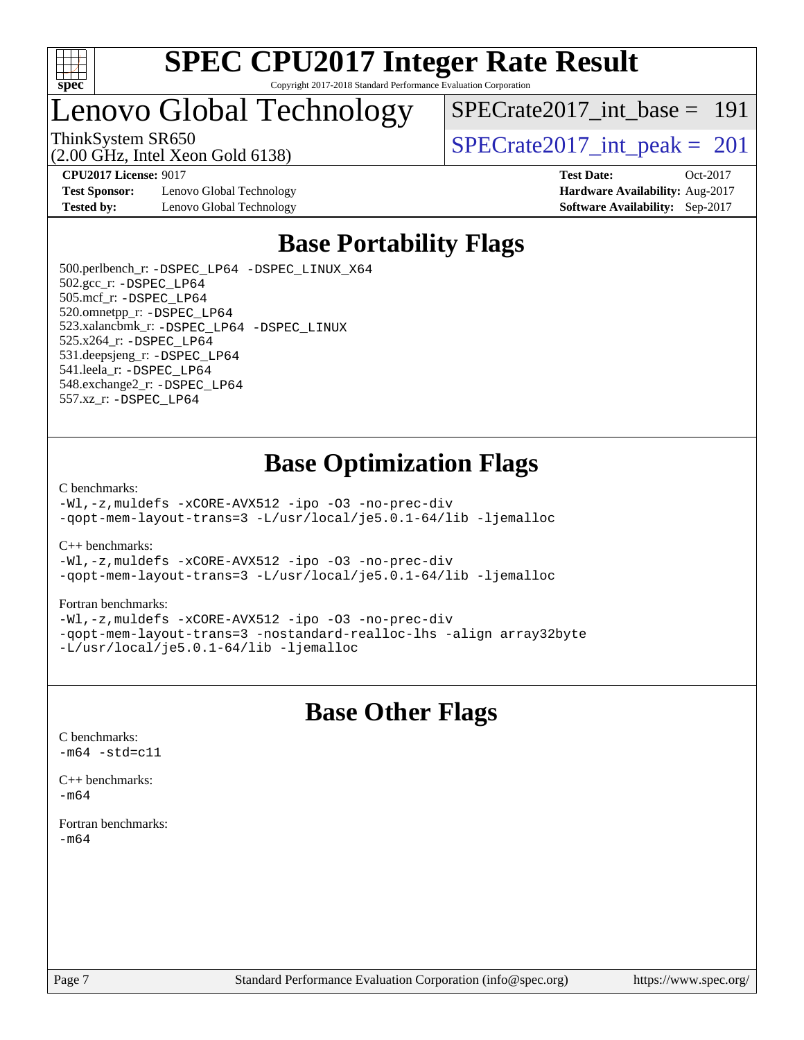

### Lenovo Global Technology

[SPECrate2017\\_int\\_base =](http://www.spec.org/auto/cpu2017/Docs/result-fields.html#SPECrate2017intbase) 191

(2.00 GHz, Intel Xeon Gold 6138)

ThinkSystem SR650<br>  $\overline{SPEC}$ rate2017\_int\_peak = 201

**[CPU2017 License:](http://www.spec.org/auto/cpu2017/Docs/result-fields.html#CPU2017License)** 9017 **[Test Date:](http://www.spec.org/auto/cpu2017/Docs/result-fields.html#TestDate)** Oct-2017

**[Test Sponsor:](http://www.spec.org/auto/cpu2017/Docs/result-fields.html#TestSponsor)** Lenovo Global Technology **[Hardware Availability:](http://www.spec.org/auto/cpu2017/Docs/result-fields.html#HardwareAvailability)** Aug-2017 **[Tested by:](http://www.spec.org/auto/cpu2017/Docs/result-fields.html#Testedby)** Lenovo Global Technology **[Software Availability:](http://www.spec.org/auto/cpu2017/Docs/result-fields.html#SoftwareAvailability)** Sep-2017

# **[Base Portability Flags](http://www.spec.org/auto/cpu2017/Docs/result-fields.html#BasePortabilityFlags)**

 500.perlbench\_r: [-DSPEC\\_LP64](http://www.spec.org/cpu2017/results/res2017q4/cpu2017-20171113-00488.flags.html#b500.perlbench_r_basePORTABILITY_DSPEC_LP64) [-DSPEC\\_LINUX\\_X64](http://www.spec.org/cpu2017/results/res2017q4/cpu2017-20171113-00488.flags.html#b500.perlbench_r_baseCPORTABILITY_DSPEC_LINUX_X64) 502.gcc\_r: [-DSPEC\\_LP64](http://www.spec.org/cpu2017/results/res2017q4/cpu2017-20171113-00488.flags.html#suite_basePORTABILITY502_gcc_r_DSPEC_LP64) 505.mcf\_r: [-DSPEC\\_LP64](http://www.spec.org/cpu2017/results/res2017q4/cpu2017-20171113-00488.flags.html#suite_basePORTABILITY505_mcf_r_DSPEC_LP64) 520.omnetpp\_r: [-DSPEC\\_LP64](http://www.spec.org/cpu2017/results/res2017q4/cpu2017-20171113-00488.flags.html#suite_basePORTABILITY520_omnetpp_r_DSPEC_LP64) 523.xalancbmk\_r: [-DSPEC\\_LP64](http://www.spec.org/cpu2017/results/res2017q4/cpu2017-20171113-00488.flags.html#suite_basePORTABILITY523_xalancbmk_r_DSPEC_LP64) [-DSPEC\\_LINUX](http://www.spec.org/cpu2017/results/res2017q4/cpu2017-20171113-00488.flags.html#b523.xalancbmk_r_baseCXXPORTABILITY_DSPEC_LINUX) 525.x264\_r: [-DSPEC\\_LP64](http://www.spec.org/cpu2017/results/res2017q4/cpu2017-20171113-00488.flags.html#suite_basePORTABILITY525_x264_r_DSPEC_LP64) 531.deepsjeng\_r: [-DSPEC\\_LP64](http://www.spec.org/cpu2017/results/res2017q4/cpu2017-20171113-00488.flags.html#suite_basePORTABILITY531_deepsjeng_r_DSPEC_LP64) 541.leela\_r: [-DSPEC\\_LP64](http://www.spec.org/cpu2017/results/res2017q4/cpu2017-20171113-00488.flags.html#suite_basePORTABILITY541_leela_r_DSPEC_LP64) 548.exchange2\_r: [-DSPEC\\_LP64](http://www.spec.org/cpu2017/results/res2017q4/cpu2017-20171113-00488.flags.html#suite_basePORTABILITY548_exchange2_r_DSPEC_LP64) 557.xz\_r: [-DSPEC\\_LP64](http://www.spec.org/cpu2017/results/res2017q4/cpu2017-20171113-00488.flags.html#suite_basePORTABILITY557_xz_r_DSPEC_LP64)

### **[Base Optimization Flags](http://www.spec.org/auto/cpu2017/Docs/result-fields.html#BaseOptimizationFlags)**

#### [C benchmarks](http://www.spec.org/auto/cpu2017/Docs/result-fields.html#Cbenchmarks):

[-Wl,-z,muldefs](http://www.spec.org/cpu2017/results/res2017q4/cpu2017-20171113-00488.flags.html#user_CCbase_link_force_multiple1_b4cbdb97b34bdee9ceefcfe54f4c8ea74255f0b02a4b23e853cdb0e18eb4525ac79b5a88067c842dd0ee6996c24547a27a4b99331201badda8798ef8a743f577) [-xCORE-AVX512](http://www.spec.org/cpu2017/results/res2017q4/cpu2017-20171113-00488.flags.html#user_CCbase_f-xCORE-AVX512) [-ipo](http://www.spec.org/cpu2017/results/res2017q4/cpu2017-20171113-00488.flags.html#user_CCbase_f-ipo) [-O3](http://www.spec.org/cpu2017/results/res2017q4/cpu2017-20171113-00488.flags.html#user_CCbase_f-O3) [-no-prec-div](http://www.spec.org/cpu2017/results/res2017q4/cpu2017-20171113-00488.flags.html#user_CCbase_f-no-prec-div) [-qopt-mem-layout-trans=3](http://www.spec.org/cpu2017/results/res2017q4/cpu2017-20171113-00488.flags.html#user_CCbase_f-qopt-mem-layout-trans_de80db37974c74b1f0e20d883f0b675c88c3b01e9d123adea9b28688d64333345fb62bc4a798493513fdb68f60282f9a726aa07f478b2f7113531aecce732043) [-L/usr/local/je5.0.1-64/lib](http://www.spec.org/cpu2017/results/res2017q4/cpu2017-20171113-00488.flags.html#user_CCbase_jemalloc_link_path64_4b10a636b7bce113509b17f3bd0d6226c5fb2346b9178c2d0232c14f04ab830f976640479e5c33dc2bcbbdad86ecfb6634cbbd4418746f06f368b512fced5394) [-ljemalloc](http://www.spec.org/cpu2017/results/res2017q4/cpu2017-20171113-00488.flags.html#user_CCbase_jemalloc_link_lib_d1249b907c500fa1c0672f44f562e3d0f79738ae9e3c4a9c376d49f265a04b9c99b167ecedbf6711b3085be911c67ff61f150a17b3472be731631ba4d0471706)

[C++ benchmarks:](http://www.spec.org/auto/cpu2017/Docs/result-fields.html#CXXbenchmarks)

[-Wl,-z,muldefs](http://www.spec.org/cpu2017/results/res2017q4/cpu2017-20171113-00488.flags.html#user_CXXbase_link_force_multiple1_b4cbdb97b34bdee9ceefcfe54f4c8ea74255f0b02a4b23e853cdb0e18eb4525ac79b5a88067c842dd0ee6996c24547a27a4b99331201badda8798ef8a743f577) [-xCORE-AVX512](http://www.spec.org/cpu2017/results/res2017q4/cpu2017-20171113-00488.flags.html#user_CXXbase_f-xCORE-AVX512) [-ipo](http://www.spec.org/cpu2017/results/res2017q4/cpu2017-20171113-00488.flags.html#user_CXXbase_f-ipo) [-O3](http://www.spec.org/cpu2017/results/res2017q4/cpu2017-20171113-00488.flags.html#user_CXXbase_f-O3) [-no-prec-div](http://www.spec.org/cpu2017/results/res2017q4/cpu2017-20171113-00488.flags.html#user_CXXbase_f-no-prec-div) [-qopt-mem-layout-trans=3](http://www.spec.org/cpu2017/results/res2017q4/cpu2017-20171113-00488.flags.html#user_CXXbase_f-qopt-mem-layout-trans_de80db37974c74b1f0e20d883f0b675c88c3b01e9d123adea9b28688d64333345fb62bc4a798493513fdb68f60282f9a726aa07f478b2f7113531aecce732043) [-L/usr/local/je5.0.1-64/lib](http://www.spec.org/cpu2017/results/res2017q4/cpu2017-20171113-00488.flags.html#user_CXXbase_jemalloc_link_path64_4b10a636b7bce113509b17f3bd0d6226c5fb2346b9178c2d0232c14f04ab830f976640479e5c33dc2bcbbdad86ecfb6634cbbd4418746f06f368b512fced5394) [-ljemalloc](http://www.spec.org/cpu2017/results/res2017q4/cpu2017-20171113-00488.flags.html#user_CXXbase_jemalloc_link_lib_d1249b907c500fa1c0672f44f562e3d0f79738ae9e3c4a9c376d49f265a04b9c99b167ecedbf6711b3085be911c67ff61f150a17b3472be731631ba4d0471706)

#### [Fortran benchmarks](http://www.spec.org/auto/cpu2017/Docs/result-fields.html#Fortranbenchmarks):

[-Wl,-z,muldefs](http://www.spec.org/cpu2017/results/res2017q4/cpu2017-20171113-00488.flags.html#user_FCbase_link_force_multiple1_b4cbdb97b34bdee9ceefcfe54f4c8ea74255f0b02a4b23e853cdb0e18eb4525ac79b5a88067c842dd0ee6996c24547a27a4b99331201badda8798ef8a743f577) [-xCORE-AVX512](http://www.spec.org/cpu2017/results/res2017q4/cpu2017-20171113-00488.flags.html#user_FCbase_f-xCORE-AVX512) [-ipo](http://www.spec.org/cpu2017/results/res2017q4/cpu2017-20171113-00488.flags.html#user_FCbase_f-ipo) [-O3](http://www.spec.org/cpu2017/results/res2017q4/cpu2017-20171113-00488.flags.html#user_FCbase_f-O3) [-no-prec-div](http://www.spec.org/cpu2017/results/res2017q4/cpu2017-20171113-00488.flags.html#user_FCbase_f-no-prec-div) [-qopt-mem-layout-trans=3](http://www.spec.org/cpu2017/results/res2017q4/cpu2017-20171113-00488.flags.html#user_FCbase_f-qopt-mem-layout-trans_de80db37974c74b1f0e20d883f0b675c88c3b01e9d123adea9b28688d64333345fb62bc4a798493513fdb68f60282f9a726aa07f478b2f7113531aecce732043) [-nostandard-realloc-lhs](http://www.spec.org/cpu2017/results/res2017q4/cpu2017-20171113-00488.flags.html#user_FCbase_f_2003_std_realloc_82b4557e90729c0f113870c07e44d33d6f5a304b4f63d4c15d2d0f1fab99f5daaed73bdb9275d9ae411527f28b936061aa8b9c8f2d63842963b95c9dd6426b8a) [-align array32byte](http://www.spec.org/cpu2017/results/res2017q4/cpu2017-20171113-00488.flags.html#user_FCbase_align_array32byte_b982fe038af199962ba9a80c053b8342c548c85b40b8e86eb3cc33dee0d7986a4af373ac2d51c3f7cf710a18d62fdce2948f201cd044323541f22fc0fffc51b6) [-L/usr/local/je5.0.1-64/lib](http://www.spec.org/cpu2017/results/res2017q4/cpu2017-20171113-00488.flags.html#user_FCbase_jemalloc_link_path64_4b10a636b7bce113509b17f3bd0d6226c5fb2346b9178c2d0232c14f04ab830f976640479e5c33dc2bcbbdad86ecfb6634cbbd4418746f06f368b512fced5394) [-ljemalloc](http://www.spec.org/cpu2017/results/res2017q4/cpu2017-20171113-00488.flags.html#user_FCbase_jemalloc_link_lib_d1249b907c500fa1c0672f44f562e3d0f79738ae9e3c4a9c376d49f265a04b9c99b167ecedbf6711b3085be911c67ff61f150a17b3472be731631ba4d0471706)

### **[Base Other Flags](http://www.spec.org/auto/cpu2017/Docs/result-fields.html#BaseOtherFlags)**

[C benchmarks](http://www.spec.org/auto/cpu2017/Docs/result-fields.html#Cbenchmarks):  $-m64 - std= c11$  $-m64 - std= c11$ 

[C++ benchmarks:](http://www.spec.org/auto/cpu2017/Docs/result-fields.html#CXXbenchmarks)  $-m64$ 

[Fortran benchmarks](http://www.spec.org/auto/cpu2017/Docs/result-fields.html#Fortranbenchmarks): [-m64](http://www.spec.org/cpu2017/results/res2017q4/cpu2017-20171113-00488.flags.html#user_FCbase_intel_intel64_18.0_af43caccfc8ded86e7699f2159af6efc7655f51387b94da716254467f3c01020a5059329e2569e4053f409e7c9202a7efc638f7a6d1ffb3f52dea4a3e31d82ab)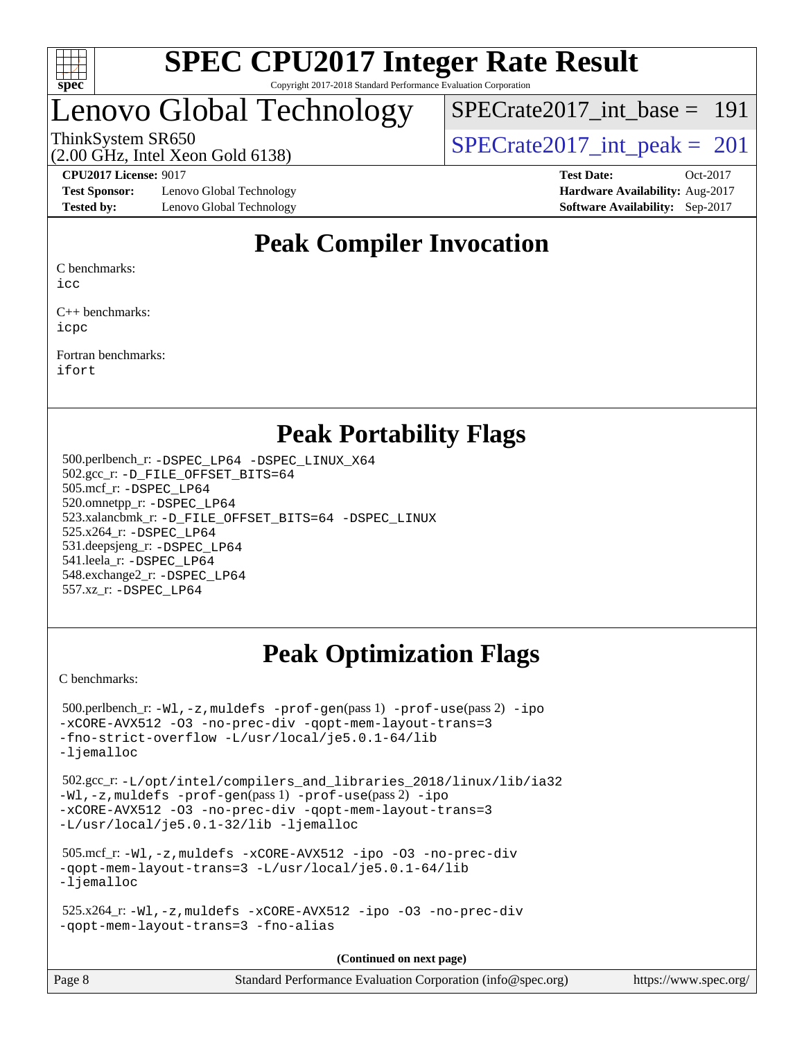

### Lenovo Global Technology

 $SPECrate2017\_int\_base = 191$ 

(2.00 GHz, Intel Xeon Gold 6138)

ThinkSystem SR650<br>  $\angle Q$  00 GHz, Intel Year Gald 6138)<br>  $\angle$  [SPECrate2017\\_int\\_peak =](http://www.spec.org/auto/cpu2017/Docs/result-fields.html#SPECrate2017intpeak) 201

**[Test Sponsor:](http://www.spec.org/auto/cpu2017/Docs/result-fields.html#TestSponsor)** Lenovo Global Technology **[Hardware Availability:](http://www.spec.org/auto/cpu2017/Docs/result-fields.html#HardwareAvailability)** Aug-2017 **[Tested by:](http://www.spec.org/auto/cpu2017/Docs/result-fields.html#Testedby)** Lenovo Global Technology **[Software Availability:](http://www.spec.org/auto/cpu2017/Docs/result-fields.html#SoftwareAvailability)** Sep-2017

**[CPU2017 License:](http://www.spec.org/auto/cpu2017/Docs/result-fields.html#CPU2017License)** 9017 **[Test Date:](http://www.spec.org/auto/cpu2017/Docs/result-fields.html#TestDate)** Oct-2017

### **[Peak Compiler Invocation](http://www.spec.org/auto/cpu2017/Docs/result-fields.html#PeakCompilerInvocation)**

[C benchmarks:](http://www.spec.org/auto/cpu2017/Docs/result-fields.html#Cbenchmarks)

[icc](http://www.spec.org/cpu2017/results/res2017q4/cpu2017-20171113-00488.flags.html#user_CCpeak_intel_icc_18.0_66fc1ee009f7361af1fbd72ca7dcefbb700085f36577c54f309893dd4ec40d12360134090235512931783d35fd58c0460139e722d5067c5574d8eaf2b3e37e92)

[C++ benchmarks:](http://www.spec.org/auto/cpu2017/Docs/result-fields.html#CXXbenchmarks) [icpc](http://www.spec.org/cpu2017/results/res2017q4/cpu2017-20171113-00488.flags.html#user_CXXpeak_intel_icpc_18.0_c510b6838c7f56d33e37e94d029a35b4a7bccf4766a728ee175e80a419847e808290a9b78be685c44ab727ea267ec2f070ec5dc83b407c0218cded6866a35d07)

[Fortran benchmarks](http://www.spec.org/auto/cpu2017/Docs/result-fields.html#Fortranbenchmarks): [ifort](http://www.spec.org/cpu2017/results/res2017q4/cpu2017-20171113-00488.flags.html#user_FCpeak_intel_ifort_18.0_8111460550e3ca792625aed983ce982f94888b8b503583aa7ba2b8303487b4d8a21a13e7191a45c5fd58ff318f48f9492884d4413fa793fd88dd292cad7027ca)

### **[Peak Portability Flags](http://www.spec.org/auto/cpu2017/Docs/result-fields.html#PeakPortabilityFlags)**

 500.perlbench\_r: [-DSPEC\\_LP64](http://www.spec.org/cpu2017/results/res2017q4/cpu2017-20171113-00488.flags.html#b500.perlbench_r_peakPORTABILITY_DSPEC_LP64) [-DSPEC\\_LINUX\\_X64](http://www.spec.org/cpu2017/results/res2017q4/cpu2017-20171113-00488.flags.html#b500.perlbench_r_peakCPORTABILITY_DSPEC_LINUX_X64) 502.gcc\_r: [-D\\_FILE\\_OFFSET\\_BITS=64](http://www.spec.org/cpu2017/results/res2017q4/cpu2017-20171113-00488.flags.html#user_peakPORTABILITY502_gcc_r_file_offset_bits_64_5ae949a99b284ddf4e95728d47cb0843d81b2eb0e18bdfe74bbf0f61d0b064f4bda2f10ea5eb90e1dcab0e84dbc592acfc5018bc955c18609f94ddb8d550002c) 505.mcf\_r: [-DSPEC\\_LP64](http://www.spec.org/cpu2017/results/res2017q4/cpu2017-20171113-00488.flags.html#suite_peakPORTABILITY505_mcf_r_DSPEC_LP64) 520.omnetpp\_r: [-DSPEC\\_LP64](http://www.spec.org/cpu2017/results/res2017q4/cpu2017-20171113-00488.flags.html#suite_peakPORTABILITY520_omnetpp_r_DSPEC_LP64) 523.xalancbmk\_r: [-D\\_FILE\\_OFFSET\\_BITS=64](http://www.spec.org/cpu2017/results/res2017q4/cpu2017-20171113-00488.flags.html#user_peakPORTABILITY523_xalancbmk_r_file_offset_bits_64_5ae949a99b284ddf4e95728d47cb0843d81b2eb0e18bdfe74bbf0f61d0b064f4bda2f10ea5eb90e1dcab0e84dbc592acfc5018bc955c18609f94ddb8d550002c) [-DSPEC\\_LINUX](http://www.spec.org/cpu2017/results/res2017q4/cpu2017-20171113-00488.flags.html#b523.xalancbmk_r_peakCXXPORTABILITY_DSPEC_LINUX) 525.x264\_r: [-DSPEC\\_LP64](http://www.spec.org/cpu2017/results/res2017q4/cpu2017-20171113-00488.flags.html#suite_peakPORTABILITY525_x264_r_DSPEC_LP64) 531.deepsjeng\_r: [-DSPEC\\_LP64](http://www.spec.org/cpu2017/results/res2017q4/cpu2017-20171113-00488.flags.html#suite_peakPORTABILITY531_deepsjeng_r_DSPEC_LP64) 541.leela\_r: [-DSPEC\\_LP64](http://www.spec.org/cpu2017/results/res2017q4/cpu2017-20171113-00488.flags.html#suite_peakPORTABILITY541_leela_r_DSPEC_LP64) 548.exchange2\_r: [-DSPEC\\_LP64](http://www.spec.org/cpu2017/results/res2017q4/cpu2017-20171113-00488.flags.html#suite_peakPORTABILITY548_exchange2_r_DSPEC_LP64) 557.xz\_r: [-DSPEC\\_LP64](http://www.spec.org/cpu2017/results/res2017q4/cpu2017-20171113-00488.flags.html#suite_peakPORTABILITY557_xz_r_DSPEC_LP64)

### **[Peak Optimization Flags](http://www.spec.org/auto/cpu2017/Docs/result-fields.html#PeakOptimizationFlags)**

[C benchmarks](http://www.spec.org/auto/cpu2017/Docs/result-fields.html#Cbenchmarks):

```
 500.perlbench_r: -Wl,-z,muldefs -prof-gen(pass 1) -prof-use(pass 2) -ipo
-xCORE-AVX512 -O3 -no-prec-div -qopt-mem-layout-trans=3
-fno-strict-overflow -L/usr/local/je5.0.1-64/lib
-ljemalloc
 502.gcc_r: -L/opt/intel/compilers_and_libraries_2018/linux/lib/ia32
-Wl,-z,muldefs -prof-gen(pass 1) -prof-use(pass 2) -ipo
-xCORE-AVX512 -O3 -no-prec-div -qopt-mem-layout-trans=3
-L/usr/local/je5.0.1-32/lib -ljemalloc
 505.mcf_r: -Wl,-z,muldefs -xCORE-AVX512 -ipo -O3 -no-prec-div
-qopt-mem-layout-trans=3 -L/usr/local/je5.0.1-64/lib
-ljemalloc
 525.x264_r: -Wl,-z,muldefs -xCORE-AVX512 -ipo -O3 -no-prec-div
-qopt-mem-layout-trans=3 -fno-alias
                                     (Continued on next page)
```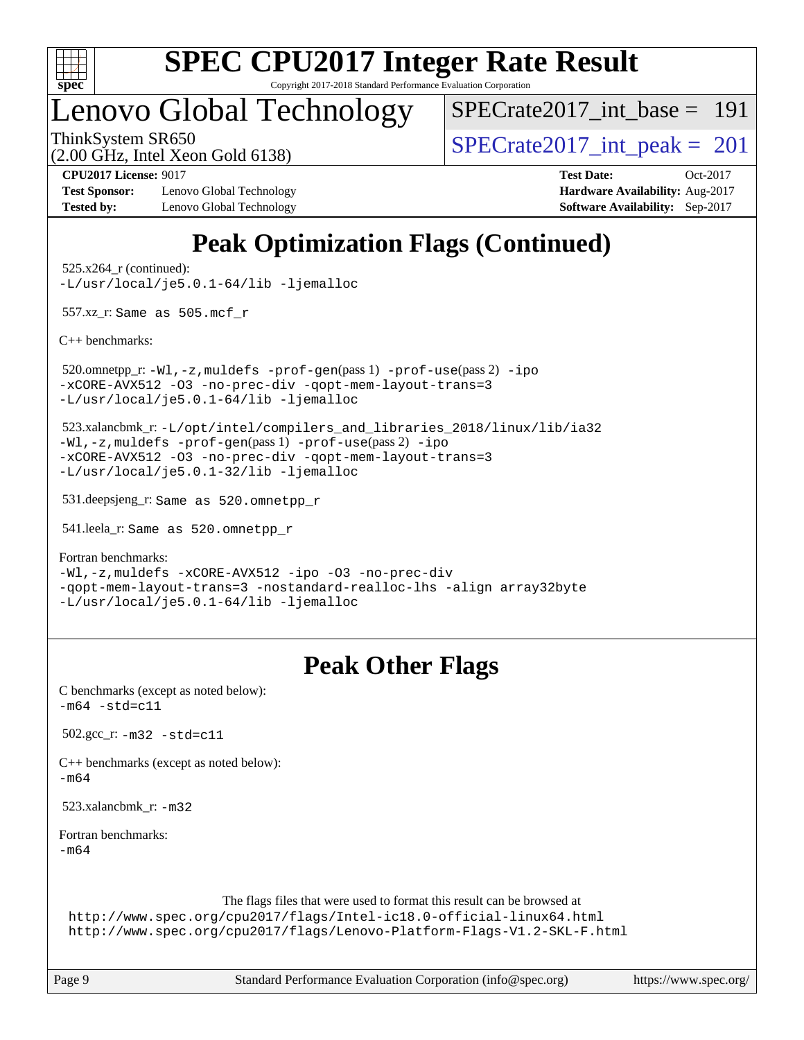

Copyright 2017-2018 Standard Performance Evaluation Corporation

### Lenovo Global Technology

[SPECrate2017\\_int\\_base =](http://www.spec.org/auto/cpu2017/Docs/result-fields.html#SPECrate2017intbase) 191

(2.00 GHz, Intel Xeon Gold 6138)

ThinkSystem SR650<br>  $\overline{SPEC}$ rate2017\_int\_peak = 201

**[Test Sponsor:](http://www.spec.org/auto/cpu2017/Docs/result-fields.html#TestSponsor)** Lenovo Global Technology **[Hardware Availability:](http://www.spec.org/auto/cpu2017/Docs/result-fields.html#HardwareAvailability)** Aug-2017 **[Tested by:](http://www.spec.org/auto/cpu2017/Docs/result-fields.html#Testedby)** Lenovo Global Technology **[Software Availability:](http://www.spec.org/auto/cpu2017/Docs/result-fields.html#SoftwareAvailability)** Sep-2017

**[CPU2017 License:](http://www.spec.org/auto/cpu2017/Docs/result-fields.html#CPU2017License)** 9017 **[Test Date:](http://www.spec.org/auto/cpu2017/Docs/result-fields.html#TestDate)** Oct-2017

## **[Peak Optimization Flags \(Continued\)](http://www.spec.org/auto/cpu2017/Docs/result-fields.html#PeakOptimizationFlags)**

 525.x264\_r (continued): [-L/usr/local/je5.0.1-64/lib](http://www.spec.org/cpu2017/results/res2017q4/cpu2017-20171113-00488.flags.html#user_peakEXTRA_LIBS525_x264_r_jemalloc_link_path64_4b10a636b7bce113509b17f3bd0d6226c5fb2346b9178c2d0232c14f04ab830f976640479e5c33dc2bcbbdad86ecfb6634cbbd4418746f06f368b512fced5394) [-ljemalloc](http://www.spec.org/cpu2017/results/res2017q4/cpu2017-20171113-00488.flags.html#user_peakEXTRA_LIBS525_x264_r_jemalloc_link_lib_d1249b907c500fa1c0672f44f562e3d0f79738ae9e3c4a9c376d49f265a04b9c99b167ecedbf6711b3085be911c67ff61f150a17b3472be731631ba4d0471706)

557.xz\_r: Same as 505.mcf\_r

[C++ benchmarks:](http://www.spec.org/auto/cpu2017/Docs/result-fields.html#CXXbenchmarks)

 520.omnetpp\_r: [-Wl,-z,muldefs](http://www.spec.org/cpu2017/results/res2017q4/cpu2017-20171113-00488.flags.html#user_peakEXTRA_LDFLAGS520_omnetpp_r_link_force_multiple1_b4cbdb97b34bdee9ceefcfe54f4c8ea74255f0b02a4b23e853cdb0e18eb4525ac79b5a88067c842dd0ee6996c24547a27a4b99331201badda8798ef8a743f577) [-prof-gen](http://www.spec.org/cpu2017/results/res2017q4/cpu2017-20171113-00488.flags.html#user_peakPASS1_CXXFLAGSPASS1_LDFLAGS520_omnetpp_r_prof_gen_5aa4926d6013ddb2a31985c654b3eb18169fc0c6952a63635c234f711e6e63dd76e94ad52365559451ec499a2cdb89e4dc58ba4c67ef54ca681ffbe1461d6b36)(pass 1) [-prof-use](http://www.spec.org/cpu2017/results/res2017q4/cpu2017-20171113-00488.flags.html#user_peakPASS2_CXXFLAGSPASS2_LDFLAGS520_omnetpp_r_prof_use_1a21ceae95f36a2b53c25747139a6c16ca95bd9def2a207b4f0849963b97e94f5260e30a0c64f4bb623698870e679ca08317ef8150905d41bd88c6f78df73f19)(pass 2) [-ipo](http://www.spec.org/cpu2017/results/res2017q4/cpu2017-20171113-00488.flags.html#user_peakPASS1_CXXOPTIMIZEPASS2_CXXOPTIMIZE520_omnetpp_r_f-ipo) [-xCORE-AVX512](http://www.spec.org/cpu2017/results/res2017q4/cpu2017-20171113-00488.flags.html#user_peakPASS2_CXXOPTIMIZE520_omnetpp_r_f-xCORE-AVX512) [-O3](http://www.spec.org/cpu2017/results/res2017q4/cpu2017-20171113-00488.flags.html#user_peakPASS1_CXXOPTIMIZEPASS2_CXXOPTIMIZE520_omnetpp_r_f-O3) [-no-prec-div](http://www.spec.org/cpu2017/results/res2017q4/cpu2017-20171113-00488.flags.html#user_peakPASS1_CXXOPTIMIZEPASS2_CXXOPTIMIZE520_omnetpp_r_f-no-prec-div) [-qopt-mem-layout-trans=3](http://www.spec.org/cpu2017/results/res2017q4/cpu2017-20171113-00488.flags.html#user_peakPASS1_CXXOPTIMIZEPASS2_CXXOPTIMIZE520_omnetpp_r_f-qopt-mem-layout-trans_de80db37974c74b1f0e20d883f0b675c88c3b01e9d123adea9b28688d64333345fb62bc4a798493513fdb68f60282f9a726aa07f478b2f7113531aecce732043) [-L/usr/local/je5.0.1-64/lib](http://www.spec.org/cpu2017/results/res2017q4/cpu2017-20171113-00488.flags.html#user_peakEXTRA_LIBS520_omnetpp_r_jemalloc_link_path64_4b10a636b7bce113509b17f3bd0d6226c5fb2346b9178c2d0232c14f04ab830f976640479e5c33dc2bcbbdad86ecfb6634cbbd4418746f06f368b512fced5394) [-ljemalloc](http://www.spec.org/cpu2017/results/res2017q4/cpu2017-20171113-00488.flags.html#user_peakEXTRA_LIBS520_omnetpp_r_jemalloc_link_lib_d1249b907c500fa1c0672f44f562e3d0f79738ae9e3c4a9c376d49f265a04b9c99b167ecedbf6711b3085be911c67ff61f150a17b3472be731631ba4d0471706)

 523.xalancbmk\_r: [-L/opt/intel/compilers\\_and\\_libraries\\_2018/linux/lib/ia32](http://www.spec.org/cpu2017/results/res2017q4/cpu2017-20171113-00488.flags.html#user_peakCXXLD523_xalancbmk_r_Enable-32bit-runtime_af243bdb1d79e4c7a4f720bf8275e627de2ecd461de63307bc14cef0633fde3cd7bb2facb32dcc8be9566045fb55d40ce2b72b725f73827aa7833441b71b9343) [-Wl,-z,muldefs](http://www.spec.org/cpu2017/results/res2017q4/cpu2017-20171113-00488.flags.html#user_peakEXTRA_LDFLAGS523_xalancbmk_r_link_force_multiple1_b4cbdb97b34bdee9ceefcfe54f4c8ea74255f0b02a4b23e853cdb0e18eb4525ac79b5a88067c842dd0ee6996c24547a27a4b99331201badda8798ef8a743f577) [-prof-gen](http://www.spec.org/cpu2017/results/res2017q4/cpu2017-20171113-00488.flags.html#user_peakPASS1_CXXFLAGSPASS1_LDFLAGS523_xalancbmk_r_prof_gen_5aa4926d6013ddb2a31985c654b3eb18169fc0c6952a63635c234f711e6e63dd76e94ad52365559451ec499a2cdb89e4dc58ba4c67ef54ca681ffbe1461d6b36)(pass 1) [-prof-use](http://www.spec.org/cpu2017/results/res2017q4/cpu2017-20171113-00488.flags.html#user_peakPASS2_CXXFLAGSPASS2_LDFLAGS523_xalancbmk_r_prof_use_1a21ceae95f36a2b53c25747139a6c16ca95bd9def2a207b4f0849963b97e94f5260e30a0c64f4bb623698870e679ca08317ef8150905d41bd88c6f78df73f19)(pass 2) [-ipo](http://www.spec.org/cpu2017/results/res2017q4/cpu2017-20171113-00488.flags.html#user_peakPASS1_CXXOPTIMIZEPASS2_CXXOPTIMIZE523_xalancbmk_r_f-ipo) [-xCORE-AVX512](http://www.spec.org/cpu2017/results/res2017q4/cpu2017-20171113-00488.flags.html#user_peakPASS2_CXXOPTIMIZE523_xalancbmk_r_f-xCORE-AVX512) [-O3](http://www.spec.org/cpu2017/results/res2017q4/cpu2017-20171113-00488.flags.html#user_peakPASS1_CXXOPTIMIZEPASS2_CXXOPTIMIZE523_xalancbmk_r_f-O3) [-no-prec-div](http://www.spec.org/cpu2017/results/res2017q4/cpu2017-20171113-00488.flags.html#user_peakPASS1_CXXOPTIMIZEPASS2_CXXOPTIMIZE523_xalancbmk_r_f-no-prec-div) [-qopt-mem-layout-trans=3](http://www.spec.org/cpu2017/results/res2017q4/cpu2017-20171113-00488.flags.html#user_peakPASS1_CXXOPTIMIZEPASS2_CXXOPTIMIZE523_xalancbmk_r_f-qopt-mem-layout-trans_de80db37974c74b1f0e20d883f0b675c88c3b01e9d123adea9b28688d64333345fb62bc4a798493513fdb68f60282f9a726aa07f478b2f7113531aecce732043) [-L/usr/local/je5.0.1-32/lib](http://www.spec.org/cpu2017/results/res2017q4/cpu2017-20171113-00488.flags.html#user_peakEXTRA_LIBS523_xalancbmk_r_jemalloc_link_path32_e29f22e8e6c17053bbc6a0971f5a9c01a601a06bb1a59df2084b77a2fe0a2995b64fd4256feaeea39eeba3aae142e96e2b2b0a28974019c0c0c88139a84f900a) [-ljemalloc](http://www.spec.org/cpu2017/results/res2017q4/cpu2017-20171113-00488.flags.html#user_peakEXTRA_LIBS523_xalancbmk_r_jemalloc_link_lib_d1249b907c500fa1c0672f44f562e3d0f79738ae9e3c4a9c376d49f265a04b9c99b167ecedbf6711b3085be911c67ff61f150a17b3472be731631ba4d0471706)

531.deepsjeng\_r: Same as 520.omnetpp\_r

541.leela\_r: Same as 520.omnetpp\_r

[Fortran benchmarks](http://www.spec.org/auto/cpu2017/Docs/result-fields.html#Fortranbenchmarks):

[-Wl,-z,muldefs](http://www.spec.org/cpu2017/results/res2017q4/cpu2017-20171113-00488.flags.html#user_FCpeak_link_force_multiple1_b4cbdb97b34bdee9ceefcfe54f4c8ea74255f0b02a4b23e853cdb0e18eb4525ac79b5a88067c842dd0ee6996c24547a27a4b99331201badda8798ef8a743f577) [-xCORE-AVX512](http://www.spec.org/cpu2017/results/res2017q4/cpu2017-20171113-00488.flags.html#user_FCpeak_f-xCORE-AVX512) [-ipo](http://www.spec.org/cpu2017/results/res2017q4/cpu2017-20171113-00488.flags.html#user_FCpeak_f-ipo) [-O3](http://www.spec.org/cpu2017/results/res2017q4/cpu2017-20171113-00488.flags.html#user_FCpeak_f-O3) [-no-prec-div](http://www.spec.org/cpu2017/results/res2017q4/cpu2017-20171113-00488.flags.html#user_FCpeak_f-no-prec-div) [-qopt-mem-layout-trans=3](http://www.spec.org/cpu2017/results/res2017q4/cpu2017-20171113-00488.flags.html#user_FCpeak_f-qopt-mem-layout-trans_de80db37974c74b1f0e20d883f0b675c88c3b01e9d123adea9b28688d64333345fb62bc4a798493513fdb68f60282f9a726aa07f478b2f7113531aecce732043) [-nostandard-realloc-lhs](http://www.spec.org/cpu2017/results/res2017q4/cpu2017-20171113-00488.flags.html#user_FCpeak_f_2003_std_realloc_82b4557e90729c0f113870c07e44d33d6f5a304b4f63d4c15d2d0f1fab99f5daaed73bdb9275d9ae411527f28b936061aa8b9c8f2d63842963b95c9dd6426b8a) [-align array32byte](http://www.spec.org/cpu2017/results/res2017q4/cpu2017-20171113-00488.flags.html#user_FCpeak_align_array32byte_b982fe038af199962ba9a80c053b8342c548c85b40b8e86eb3cc33dee0d7986a4af373ac2d51c3f7cf710a18d62fdce2948f201cd044323541f22fc0fffc51b6) [-L/usr/local/je5.0.1-64/lib](http://www.spec.org/cpu2017/results/res2017q4/cpu2017-20171113-00488.flags.html#user_FCpeak_jemalloc_link_path64_4b10a636b7bce113509b17f3bd0d6226c5fb2346b9178c2d0232c14f04ab830f976640479e5c33dc2bcbbdad86ecfb6634cbbd4418746f06f368b512fced5394) [-ljemalloc](http://www.spec.org/cpu2017/results/res2017q4/cpu2017-20171113-00488.flags.html#user_FCpeak_jemalloc_link_lib_d1249b907c500fa1c0672f44f562e3d0f79738ae9e3c4a9c376d49f265a04b9c99b167ecedbf6711b3085be911c67ff61f150a17b3472be731631ba4d0471706)

### **[Peak Other Flags](http://www.spec.org/auto/cpu2017/Docs/result-fields.html#PeakOtherFlags)**

| C benchmarks (except as noted below):<br>$-m64 - std = c11$                                                                                                                                                               |
|---------------------------------------------------------------------------------------------------------------------------------------------------------------------------------------------------------------------------|
| $502.\text{gcc}_r$ : $-m32 - std = c11$                                                                                                                                                                                   |
| $C++$ benchmarks (except as noted below):<br>$-m64$                                                                                                                                                                       |
| 523.xalancbmk $_r$ : $-m32$                                                                                                                                                                                               |
| Fortran benchmarks:<br>$-m64$                                                                                                                                                                                             |
| The flags files that were used to format this result can be browsed at<br>http://www.spec.org/cpu2017/flags/Intel-ic18.0-official-linux64.html<br>http://www.spec.org/cpu2017/flags/Lenovo-Platform-Flags-V1.2-SKL-F.html |